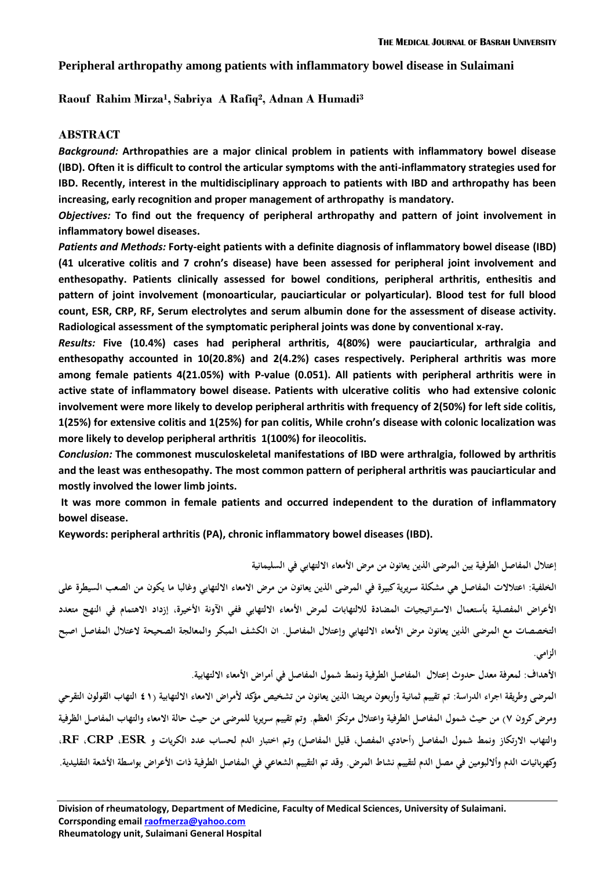### **Peripheral arthropathy among patients with inflammatory bowel disease in Sulaimani**

**Raouf Rahim Mirza<sup>1</sup> , Sabriya A Rafiq<sup>2</sup> , Adnan A Humadi<sup>3</sup>**

#### **ABSTRACT**

*Background:* **Arthropathies are a major clinical problem in patients with inflammatory bowel disease (IBD). Often it is difficult to control the articular symptoms with the anti-inflammatory strategies used for IBD. Recently, interest in the multidisciplinary approach to patients with IBD and arthropathy has been increasing, early recognition and proper management of arthropathy is mandatory.**

*Objectives:* **To find out the frequency of peripheral arthropathy and pattern of joint involvement in inflammatory bowel diseases.**

*Patients and Methods:* **Forty-eight patients with a definite diagnosis of inflammatory bowel disease (IBD) (41 ulcerative colitis and 7 crohn's disease) have been assessed for peripheral joint involvement and enthesopathy. Patients clinically assessed for bowel conditions, peripheral arthritis, enthesitis and pattern of joint involvement (monoarticular, pauciarticular or polyarticular). Blood test for full blood count, ESR, CRP, RF, Serum electrolytes and serum albumin done for the assessment of disease activity. Radiological assessment of the symptomatic peripheral joints was done by conventional x-ray.** 

*Results:* **Five (10.4%) cases had peripheral arthritis, 4(80%) were pauciarticular, arthralgia and enthesopathy accounted in 10(20.8%) and 2(4.2%) cases respectively. Peripheral arthritis was more among female patients 4(21.05%) with P-value (0.051). All patients with peripheral arthritis were in active state of inflammatory bowel disease. Patients with ulcerative colitis who had extensive colonic involvement were more likely to develop peripheral arthritis with frequency of 2(50%) for left side colitis, 1(25%) for extensive colitis and 1(25%) for pan colitis, While crohn's disease with colonic localization was more likely to develop peripheral arthritis 1(100%) for ileocolitis.** 

*Conclusion:* **The commonest musculoskeletal manifestations of IBD were arthralgia, followed by arthritis and the least was enthesopathy. The most common pattern of peripheral arthritis was pauciarticular and mostly involved the lower limb joints.** 

**It was more common in female patients and occurred independent to the duration of inflammatory bowel disease.**

**Keywords: peripheral arthritis (PA), chronic inflammatory bowel diseases (IBD).**

**إعتالل المفاصل الطرفية بين المرضى الذين يعانون من مرض األمعاء االلتهابي في السليمانية** الخلفية: اعتلالات المفاصل هي مشكلة سريرية كبيرة في المرضى الذين يعانون من مرض الامعاء الالتهابي وغالبا ما يكون من الصعب السيطرة على **األعراض المفصلية بأستعمال االستراتيجيات المضادة لاللتهابات لمرض األمعاء االلتهابي ففي اآلونة األخيرة، إز داد االهتمام في النهج متعدد التخصصات مع المرضى الذين يعانون مرض األمعاء االلتهابي و إعتالل المفاصل. ان الكشف المبكر والمعالجة الصحيحة العتالل المفاصل اصبح الزامي.**

**األهداف: لمعرفة معدل حدوث إعتالل المفاصل الطرفية ونمط شمول المفاصل في أمراض األمعاء االلتهابية.**

المرضى وطريقة اجراء الدراسة: تم تقييم ثمانية وأربعون مريضا الذين يعانون من تشخيص مؤكد لأمراض الامعاء الالتهابية (1 £ التهاب القولون التقرحي **و مرض كرون 7( من حيث شمول المفاصل الطرفية واعتالل مرتكز العظم. وتم تقييم سريريا للمرضى من حيث حالة االمعاء والتهاب المفاصل الظر فية و التهاب االرتكاز ونمط شمول المفاصل )أحادي المفصل، قليل المفاصل( وتم اختبار الدم لحساب عدد الكريات و ESR، CRP، RF، وكهربائيات الدم وأاللبومين في مصل الدم لتقييم نشاط المرض. وقد تم التقييم الشعاعي في المفاصل الطرفية ذات األعراض بواسطة األشعة التقليدية.**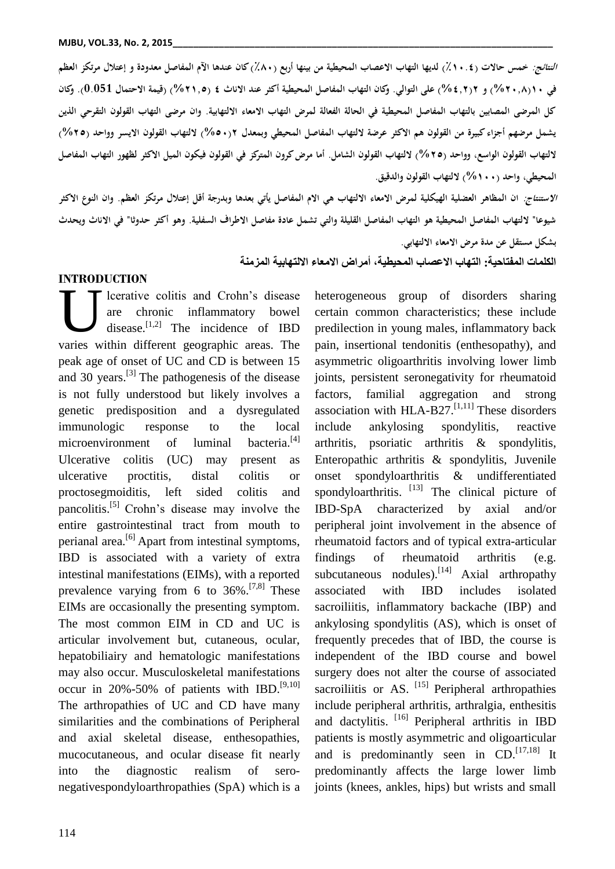**النتائج: خمس حاالت )٪4..1( لديها التهاب االعصاب المحيطية من بينها أربع )٪0.( كان عندها اآلم المفاصل معدودة و إعتالل مرتكز العظم في 4.)%8.00( و 8)%108( على التوالي. وكان التهاب المفاصل المحيطية أكثر عند االناث 1 )%8402( )قيمة االحتمال 0.051(. وكان كل المرضى المصابين بالتهاب المفاصل المحيطية في الحالة الفعالة لمرض التهاب االمعاء االلتهابية. وان مرضى التهاب القولون التقرحي الذين يشمل مرضهم أجزاء كبيرة من القولون هم االكثر عرضة اللتهاب المفاصل المحيطي وبمعدل 8)%2.( اللتهاب القولون االيسر وواحد )%82( اللتهاب القولون الواسع، وواحد )%82( اللتهاب القولون الشامل. أما مرض كرون المتركز في القولون فيكون الميل االكثر لظهور التهاب المفاصل المحيطي، واحد )%4..( اللتهاب القولون والدقيق.**

**االستنتاج: ان المظاهر العضلية الهيكلية لمرض االمعاء االلتهاب هي االم المفاصل يأتي بعدها وبدرجة أقل إعتالل مرتكز العظم. وان النوع االكثر شيوعا" اللتهاب المفاصل المحيطية هو التهاب المفاصل القليلة والتي تشمل عادة مفاصل االطراف السفلية. وهو أكثر حدوثا" في االناث ويحدث بشكل مستقل عن مدة مرض االمعاء االلتهابي.**

**الكلمات المفتاحية: التهاب االعصاب المحيطية، أمراض االمعاء االلتهابية المزمنة**

### **INTRODUCTION**

lcerative colitis and Crohn's disease are chronic inflammatory bowel disease.<sup>[1,2]</sup> The incidence of IBD Interactive colitis and Crohn's disease<br>
are chronic inflammatory bowel<br>
disease.<sup>[1,2]</sup> The incidence of IBD<br>
varies within different geographic areas. The peak age of onset of UC and CD is between 15 and 30 years.<sup>[3]</sup> The pathogenesis of the disease is not fully understood but likely involves a genetic predisposition and a dysregulated immunologic response to the local microenvironment of luminal bacteria.<sup>[4]</sup> Ulcerative colitis (UC) may present as ulcerative proctitis, distal colitis or proctosegmoiditis, left sided colitis and pancolitis.<sup>[5]</sup> Crohn's disease may involve the entire gastrointestinal tract from mouth to perianal area.[6] Apart from intestinal symptoms, IBD is associated with a variety of extra intestinal manifestations (EIMs), with a reported prevalence varying from 6 to  $36\%$ .<sup>[7,8]</sup> These EIMs are occasionally the presenting symptom. The most common EIM in CD and UC is articular involvement but, cutaneous, ocular, hepatobiliairy and hematologic manifestations may also occur. Musculoskeletal manifestations occur in  $20\% - 50\%$  of patients with IBD.<sup>[9,10]</sup> The arthropathies of UC and CD have many similarities and the combinations of Peripheral and axial skeletal disease, enthesopathies, mucocutaneous, and ocular disease fit nearly into the diagnostic realism of seronegativespondyloarthropathies (SpA) which is a

heterogeneous group of disorders sharing certain common characteristics; these include predilection in young males, inflammatory back pain, insertional tendonitis (enthesopathy), and asymmetric oligoarthritis involving lower limb joints, persistent seronegativity for rheumatoid factors, familial aggregation and strong association with HLA-B27. $[1,11]$  These disorders include ankylosing spondylitis, reactive arthritis, psoriatic arthritis & spondylitis, Enteropathic arthritis & spondylitis, Juvenile onset spondyloarthritis & undifferentiated spondyloarthritis. <sup>[13]</sup> The clinical picture of IBD-SpA characterized by axial and/or peripheral joint involvement in the absence of rheumatoid factors and of typical extra-articular findings of rheumatoid arthritis (e.g. subcutaneous nodules).<sup>[14]</sup> Axial arthropathy associated with IBD includes isolated sacroiliitis, inflammatory backache (IBP) and ankylosing spondylitis (AS), which is onset of frequently precedes that of IBD, the course is independent of the IBD course and bowel surgery does not alter the course of associated sacroiliitis or AS.  $^{[15]}$  Peripheral arthropathies include peripheral arthritis, arthralgia, enthesitis and dactylitis. [16] Peripheral arthritis in IBD patients is mostly asymmetric and oligoarticular and is predominantly seen in  $CD$ .<sup>[17,18]</sup> It predominantly affects the large lower limb joints (knees, ankles, hips) but wrists and small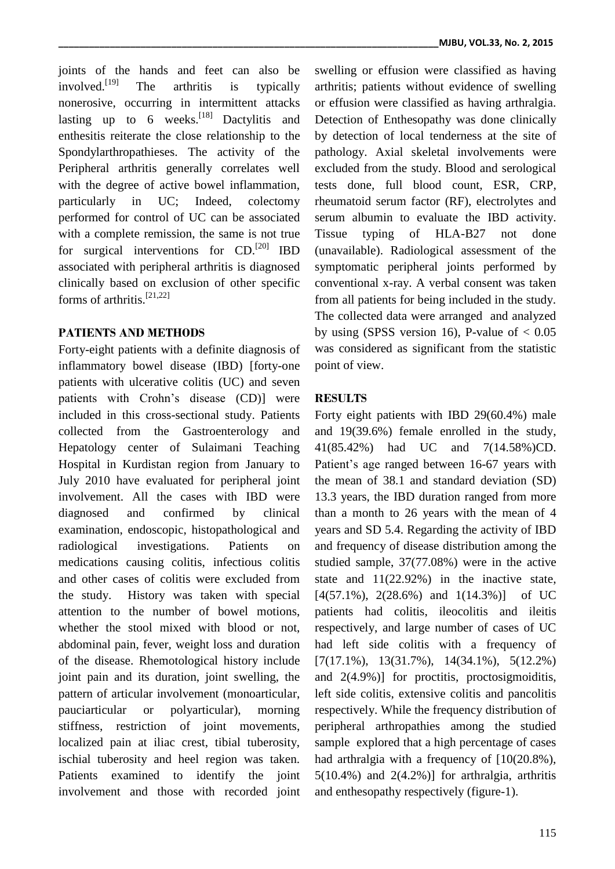joints of the hands and feet can also be involved<sup>[19]</sup> The arthritis is typically nonerosive, occurring in intermittent attacks lasting up to 6 weeks.<sup>[18]</sup> Dactylitis and enthesitis reiterate the close relationship to the Spondylarthropathieses. The activity of the Peripheral arthritis generally correlates well with the degree of active bowel inflammation, particularly in UC; Indeed, colectomy performed for control of UC can be associated with a complete remission, the same is not true for surgical interventions for  $CD$ .<sup>[20]</sup> IBD associated with peripheral arthritis is diagnosed clinically based on exclusion of other specific forms of arthritis.<sup>[21,22]</sup>

## **PATIENTS AND METHODS**

Forty-eight patients with a definite diagnosis of inflammatory bowel disease (IBD) [forty-one patients with ulcerative colitis (UC) and seven patients with Crohn's disease (CD)] were included in this cross-sectional study. Patients collected from the Gastroenterology and Hepatology center of Sulaimani Teaching Hospital in Kurdistan region from January to July 2010 have evaluated for peripheral joint involvement. All the cases with IBD were diagnosed and confirmed by clinical examination, endoscopic, histopathological and radiological investigations. Patients on medications causing colitis, infectious colitis and other cases of colitis were excluded from the study. History was taken with special attention to the number of bowel motions, whether the stool mixed with blood or not. abdominal pain, fever, weight loss and duration of the disease. Rhemotological history include joint pain and its duration, joint swelling, the pattern of articular involvement (monoarticular, pauciarticular or polyarticular), morning stiffness, restriction of joint movements, localized pain at iliac crest, tibial tuberosity, ischial tuberosity and heel region was taken. Patients examined to identify the joint involvement and those with recorded joint

swelling or effusion were classified as having arthritis; patients without evidence of swelling or effusion were classified as having arthralgia. Detection of Enthesopathy was done clinically by detection of local tenderness at the site of pathology. Axial skeletal involvements were excluded from the study. Blood and serological tests done, full blood count, ESR, CRP, rheumatoid serum factor (RF), electrolytes and serum albumin to evaluate the IBD activity. Tissue typing of HLA-B27 not done (unavailable). Radiological assessment of the symptomatic peripheral joints performed by conventional x-ray. A verbal consent was taken from all patients for being included in the study. The collected data were arranged and analyzed by using (SPSS version 16), P-value of  $< 0.05$ was considered as significant from the statistic point of view.

# **RESULTS**

Forty eight patients with IBD 29(60.4%) male and 19(39.6%) female enrolled in the study, 41(85.42%) had UC and 7(14.58%)CD. Patient's age ranged between 16-67 years with the mean of 38.1 and standard deviation (SD) 13.3 years, the IBD duration ranged from more than a month to 26 years with the mean of 4 years and SD 5.4. Regarding the activity of IBD and frequency of disease distribution among the studied sample, 37(77.08%) were in the active state and 11(22.92%) in the inactive state,  $[4(57.1\%), 2(28.6\%)$  and  $1(14.3\%)$  of UC patients had colitis, ileocolitis and ileitis respectively, and large number of cases of UC had left side colitis with a frequency of [7(17.1%), 13(31.7%), 14(34.1%), 5(12.2%) and  $2(4.9\%)$  for proctitis, proctosigmoiditis, left side colitis, extensive colitis and pancolitis respectively. While the frequency distribution of peripheral arthropathies among the studied sample explored that a high percentage of cases had arthralgia with a frequency of [10(20.8%),  $5(10.4\%)$  and  $2(4.2\%)$  for arthralgia, arthritis and enthesopathy respectively (figure-1).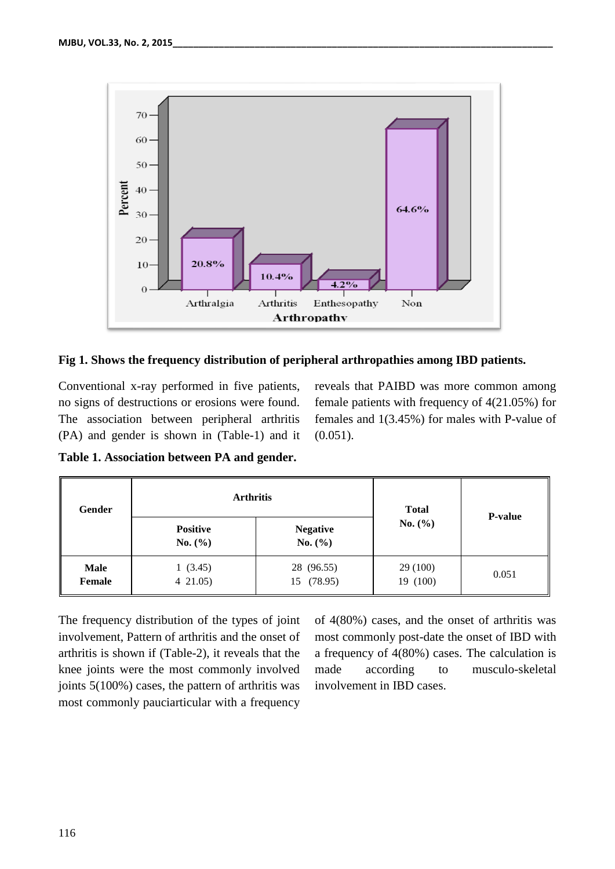

### **Fig 1. Shows the frequency distribution of peripheral arthropathies among IBD patients.**

Conventional x-ray performed in five patients, no signs of destructions or erosions were found. The association between peripheral arthritis (PA) and gender is shown in (Table-1) and it reveals that PAIBD was more common among female patients with frequency of 4(21.05%) for females and 1(3.45%) for males with P-value of (0.051).

**Table 1. Association between PA and gender.**

| Gender                | <b>Arthritis</b>               |                                | <b>Total</b>        | <b>P-value</b> |
|-----------------------|--------------------------------|--------------------------------|---------------------|----------------|
|                       | <b>Positive</b><br>No. $(\% )$ | <b>Negative</b><br>No. $(\% )$ | No. $(\% )$         |                |
| <b>Male</b><br>Female | 1(3.45)<br>$4\,21.05$          | 28 (96.55)<br>15 (78.95)       | 29(100)<br>19 (100) | 0.051          |

The frequency distribution of the types of joint involvement, Pattern of arthritis and the onset of arthritis is shown if (Table-2), it reveals that the knee joints were the most commonly involved joints 5(100%) cases, the pattern of arthritis was most commonly pauciarticular with a frequency

of 4(80%) cases, and the onset of arthritis was most commonly post-date the onset of IBD with a frequency of 4(80%) cases. The calculation is made according to musculo-skeletal involvement in IBD cases.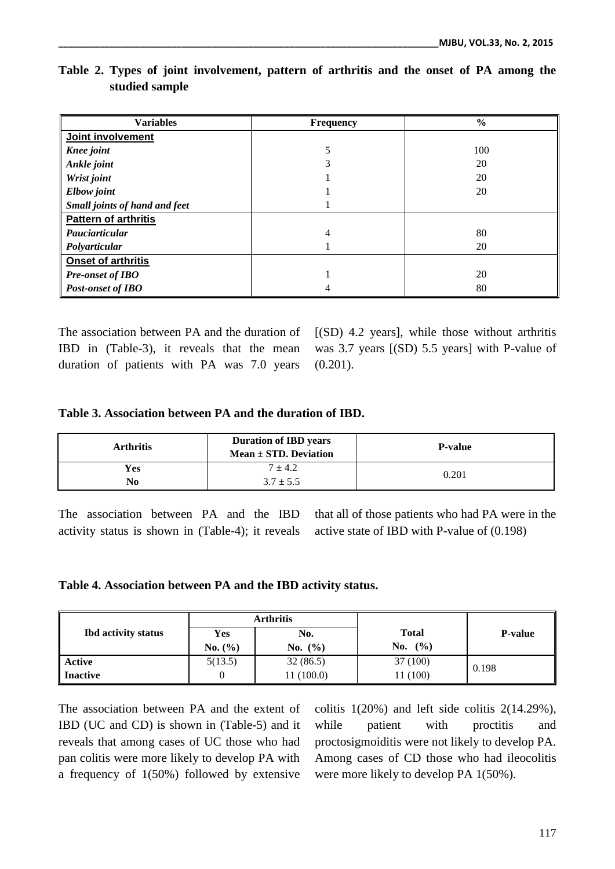| <b>Variables</b>              | <b>Frequency</b> | $\frac{6}{6}$ |
|-------------------------------|------------------|---------------|
| Joint involvement             |                  |               |
| <b>Knee</b> joint             |                  | 100           |
| Ankle joint                   |                  | 20            |
| Wrist joint                   |                  | 20            |
| Elbow joint                   |                  | 20            |
| Small joints of hand and feet |                  |               |
| Pattern of arthritis          |                  |               |
| Pauciarticular                | 4                | 80            |
| Polyarticular                 |                  | 20            |
| <b>Onset of arthritis</b>     |                  |               |
| Pre-onset of IBO              |                  | 20            |
| <b>Post-onset of IBO</b>      | 4                | 80            |

## **Table 2. Types of joint involvement, pattern of arthritis and the onset of PA among the studied sample**

The association between PA and the duration of IBD in (Table-3), it reveals that the mean duration of patients with PA was 7.0 years [(SD) 4.2 years], while those without arthritis was 3.7 years [(SD) 5.5 years] with P-value of  $(0.201)$ .

### **Table 3. Association between PA and the duration of IBD.**

| <b>Arthritis</b> | <b>Duration of IBD years</b><br>$Mean \pm STD$ . Deviation | <b>P-value</b> |  |
|------------------|------------------------------------------------------------|----------------|--|
| <b>Yes</b><br>No | $7 \pm 4.2$<br>$3.7 \pm 5.5$                               | 0.201          |  |

The association between PA and the IBD activity status is shown in (Table-4); it reveals

that all of those patients who had PA were in the active state of IBD with P-value of (0.198)

### **Table 4. Association between PA and the IBD activity status.**

|                            | <b>Arthritis</b> |             |              |                |  |
|----------------------------|------------------|-------------|--------------|----------------|--|
| <b>Ibd</b> activity status | Yes              | No.         | <b>Total</b> | <b>P-value</b> |  |
|                            | No. $(\% )$      | No. $(\% )$ | No. $(\% )$  |                |  |
| <b>Active</b>              | 5(13.5)          | 32(86.5)    | 37 (100)     | 0.198          |  |
| Inactive                   |                  | 11 (100.0)  | 11 (100)     |                |  |

The association between PA and the extent of IBD (UC and CD) is shown in (Table-5) and it reveals that among cases of UC those who had pan colitis were more likely to develop PA with a frequency of 1(50%) followed by extensive colitis  $1(20\%)$  and left side colitis  $2(14.29\%).$ while patient with proctitis and proctosigmoiditis were not likely to develop PA. Among cases of CD those who had ileocolitis were more likely to develop PA 1(50%).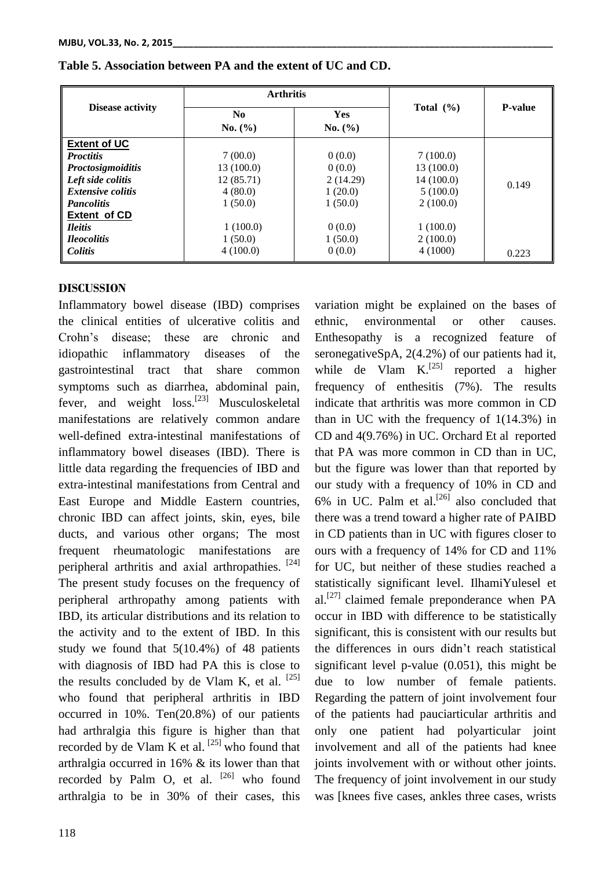|                          | <b>Arthritis</b> |            |               |                |
|--------------------------|------------------|------------|---------------|----------------|
| <b>Disease activity</b>  | No.              | <b>Yes</b> | Total $(\% )$ | <b>P-value</b> |
|                          | No. (%)          | No. (%)    |               |                |
| <b>Extent of UC</b>      |                  |            |               |                |
| <b>Proctitis</b>         | 7(00.0)          | 0(0.0)     | 7(100.0)      |                |
| <b>Proctosigmoiditis</b> | 13 (100.0)       | 0(0.0)     | 13 (100.0)    |                |
| Left side colitis        | 12(85.71)        | 2(14.29)   | 14 (100.0)    | 0.149          |
| <i>Extensive colitis</i> | 4(80.0)          | 1(20.0)    | 5(100.0)      |                |
| <b>Pancolitis</b>        | 1(50.0)          | 1(50.0)    | 2(100.0)      |                |
| Extent of CD             |                  |            |               |                |
| <b>Ileitis</b>           | 1(100.0)         | 0(0.0)     | 1(100.0)      |                |
| <i><b>Heocolitis</b></i> | 1(50.0)          | 1(50.0)    | 2(100.0)      |                |
| <b>Colitis</b>           | 4(100.0)         | 0(0.0)     | 4(1000)       | 0.223          |

### **Table 5. Association between PA and the extent of UC and CD.**

### **DISCUSSION**

Inflammatory bowel disease (IBD) comprises the clinical entities of ulcerative colitis and Crohn's disease; these are chronic and idiopathic inflammatory diseases of the gastrointestinal tract that share common symptoms such as diarrhea, abdominal pain, fever, and weight loss.<sup>[23]</sup> Musculoskeletal manifestations are relatively common andare well-defined extra-intestinal manifestations of inflammatory bowel diseases (IBD). There is little data regarding the frequencies of IBD and extra-intestinal manifestations from Central and East Europe and Middle Eastern countries, chronic IBD can affect joints, skin, eyes, bile ducts, and various other organs; The most frequent rheumatologic manifestations are peripheral arthritis and axial arthropathies. [24] The present study focuses on the frequency of peripheral arthropathy among patients with IBD, its articular distributions and its relation to the activity and to the extent of IBD. In this study we found that 5(10.4%) of 48 patients with diagnosis of IBD had PA this is close to the results concluded by de Vlam K, et al.  $^{[25]}$ who found that peripheral arthritis in IBD occurred in 10%. Ten(20.8%) of our patients had arthralgia this figure is higher than that recorded by de Vlam K et al.  $^{[25]}$  who found that arthralgia occurred in 16% & its lower than that recorded by Palm O, et al.  $[26]$  who found arthralgia to be in 30% of their cases, this

ethnic, environmental or other causes. Enthesopathy is a recognized feature of seronegativeSpA, 2(4.2%) of our patients had it, while de Vlam  $K$ <sup>[25]</sup> reported a higher frequency of enthesitis (7%). The results indicate that arthritis was more common in CD than in UC with the frequency of 1(14.3%) in CD and 4(9.76%) in UC. Orchard Et al reported that PA was more common in CD than in UC, but the figure was lower than that reported by our study with a frequency of 10% in CD and  $6\%$  in UC. Palm et al.<sup>[26]</sup> also concluded that there was a trend toward a higher rate of PAIBD in CD patients than in UC with figures closer to ours with a frequency of 14% for CD and 11% for UC, but neither of these studies reached a statistically significant level. IlhamiYulesel et al.<sup>[27]</sup> claimed female preponderance when  $PA$ occur in IBD with difference to be statistically significant, this is consistent with our results but the differences in ours didn't reach statistical significant level p-value (0.051), this might be due to low number of female patients. Regarding the pattern of joint involvement four of the patients had pauciarticular arthritis and only one patient had polyarticular joint involvement and all of the patients had knee joints involvement with or without other joints. The frequency of joint involvement in our study was [knees five cases, ankles three cases, wrists

variation might be explained on the bases of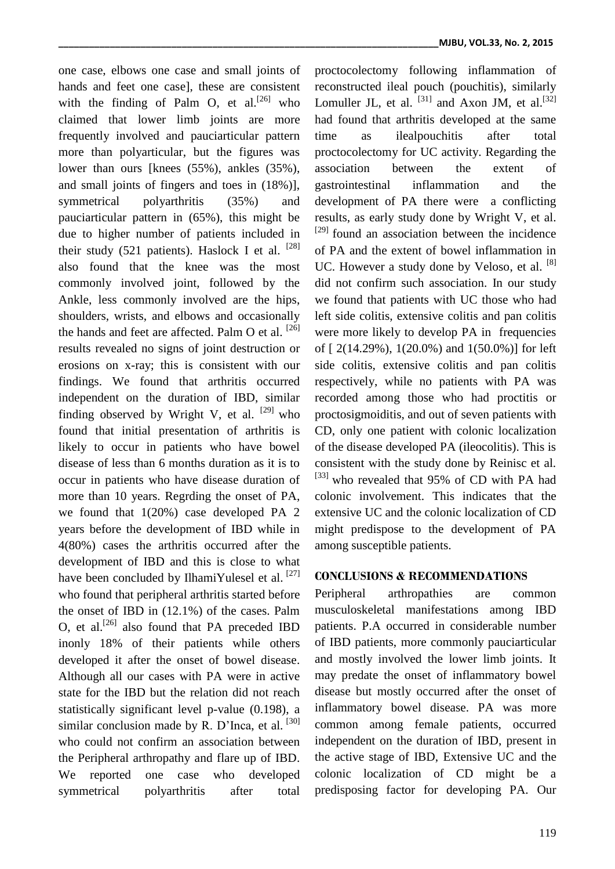one case, elbows one case and small joints of hands and feet one case], these are consistent with the finding of Palm O, et al.<sup>[26]</sup> who claimed that lower limb joints are more frequently involved and pauciarticular pattern more than polyarticular, but the figures was lower than ours [knees (55%), ankles (35%), and small joints of fingers and toes in (18%)], symmetrical polyarthritis (35%) and pauciarticular pattern in (65%), this might be due to higher number of patients included in their study (521 patients). Haslock I et al.  $^{[28]}$ also found that the knee was the most commonly involved joint, followed by the Ankle, less commonly involved are the hips, shoulders, wrists, and elbows and occasionally the hands and feet are affected. Palm O et al. <sup>[26]</sup> results revealed no signs of joint destruction or erosions on x-ray; this is consistent with our findings. We found that arthritis occurred independent on the duration of IBD, similar finding observed by Wright V, et al.  $[29]$  who found that initial presentation of arthritis is likely to occur in patients who have bowel disease of less than 6 months duration as it is to occur in patients who have disease duration of more than 10 years. Regrding the onset of PA, we found that 1(20%) case developed PA 2 years before the development of IBD while in 4(80%) cases the arthritis occurred after the development of IBD and this is close to what have been concluded by IlhamiYulesel et al.  $[27]$ who found that peripheral arthritis started before the onset of IBD in (12.1%) of the cases. Palm O, et al.<sup>[26]</sup> also found that PA preceded IBD inonly 18% of their patients while others developed it after the onset of bowel disease. Although all our cases with PA were in active state for the IBD but the relation did not reach statistically significant level p-value (0.198), a similar conclusion made by R. D'Inca, et al.  $[30]$ who could not confirm an association between the Peripheral arthropathy and flare up of IBD. We reported one case who developed symmetrical polyarthritis after total

proctocolectomy following inflammation of reconstructed ileal pouch (pouchitis), similarly Lomuller JL, et al.  $^{[31]}$  and Axon JM, et al.  $^{[32]}$ had found that arthritis developed at the same time as ilealpouchitis after total proctocolectomy for UC activity. Regarding the association between the extent of gastrointestinal inflammation and the development of PA there were a conflicting results, as early study done by Wright V, et al.  $[29]$  found an association between the incidence of PA and the extent of bowel inflammation in UC. However a study done by Veloso, et al. [8] did not confirm such association. In our study we found that patients with UC those who had left side colitis, extensive colitis and pan colitis were more likely to develop PA in frequencies of [ 2(14.29%), 1(20.0%) and 1(50.0%)] for left side colitis, extensive colitis and pan colitis respectively, while no patients with PA was recorded among those who had proctitis or proctosigmoiditis, and out of seven patients with CD, only one patient with colonic localization of the disease developed PA (ileocolitis). This is consistent with the study done by Reinisc et al. [33] who revealed that 95% of CD with PA had colonic involvement. This indicates that the extensive UC and the colonic localization of CD might predispose to the development of PA among susceptible patients.

### **CONCLUSIONS & RECOMMENDATIONS**

Peripheral arthropathies are common musculoskeletal manifestations among IBD patients. P.A occurred in considerable number of IBD patients, more commonly pauciarticular and mostly involved the lower limb joints. It may predate the onset of inflammatory bowel disease but mostly occurred after the onset of inflammatory bowel disease. PA was more common among female patients, occurred independent on the duration of IBD, present in the active stage of IBD, Extensive UC and the colonic localization of CD might be a predisposing factor for developing PA. Our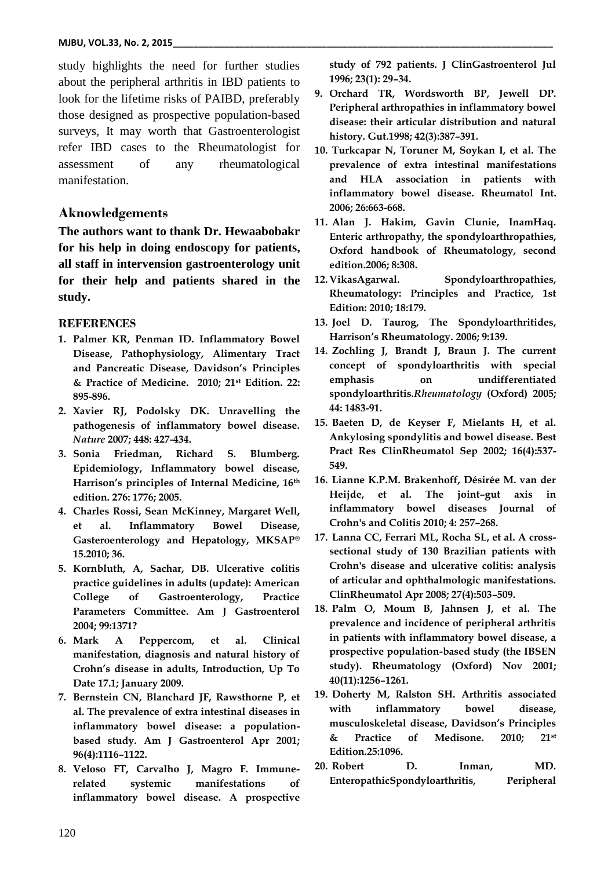study highlights the need for further studies about the peripheral arthritis in IBD patients to look for the lifetime risks of PAIBD, preferably those designed as prospective population-based surveys, It may worth that Gastroenterologist refer IBD cases to the Rheumatologist for assessment of any rheumatological manifestation.

### **Aknowledgements**

**The authors want to thank Dr. Hewaabobakr for his help in doing endoscopy for patients, all staff in intervension gastroenterology unit for their help and patients shared in the study.**

#### **REFERENCES**

- **1. Palmer KR, Penman ID. Inflammatory Bowel Disease, Pathophysiology, Alimentary Tract and Pancreatic Disease, Davidson's Principles & Practice of Medicine. 2010; 21st Edition. 22: 895-896.**
- **2. Xavier RJ, Podolsky DK. Unravelling the pathogenesis of inflammatory bowel disease.**  *Nature* **2007; 448: 427-434.**
- **3. Sonia Friedman, Richard S. Blumberg. Epidemiology, Inflammatory bowel disease, Harrison's principles of Internal Medicine, 16th edition. 276: 1776; 2005.**
- **4. Charles Rossi, Sean McKinney, Margaret Well, et al. Inflammatory Bowel Disease, Gasteroenterology and Hepatology, MKSAP® 15.2010; 36.**
- **5. Kornbluth, A, Sachar, DB. Ulcerative colitis practice guidelines in adults (update): American College of Gastroenterology, Practice Parameters Committee. Am J Gastroenterol 2004; 99:1371?**
- **6. Mark A Peppercom, et al. Clinical manifestation, diagnosis and natural history of Crohn's disease in adults, Introduction, Up To Date 17.1; January 2009.**
- **7. Bernstein CN, Blanchard JF, Rawsthorne P, et al. The prevalence of extra intestinal diseases in inflammatory bowel disease: a populationbased study. Am J Gastroenterol Apr 2001; 96(4):1116–1122.**
- **8. Veloso FT, Carvalho J, Magro F. Immunerelated systemic manifestations of inflammatory bowel disease. A prospective**

**study of 792 patients. J ClinGastroenterol Jul 1996; 23(1): 29–34.** 

- **9. Orchard TR, Wordsworth BP, Jewell DP. Peripheral arthropathies in inflammatory bowel disease: their articular distribution and natural history. Gut.1998; 42(3):387–391.**
- **10. Turkcapar N, Toruner M, Soykan I, et al. The prevalence of extra intestinal manifestations and HLA association in patients with inflammatory bowel disease. Rheumatol Int. 2006; 26:663-668.**
- **11. Alan J. Hakim, Gavin Clunie, InamHaq. Enteric arthropathy, the spondyloarthropathies, Oxford handbook of Rheumatology, second edition.2006; 8:308.**
- **12. VikasAgarwal. Spondyloarthropathies, Rheumatology: Principles and Practice, 1st Edition: 2010; 18:179.**
- **13. Joel D. Taurog, The Spondyloarthritides, Harrison's Rheumatology. 2006; 9:139.**
- **14. Zochling J, Brandt J, Braun J. The current concept of spondyloarthritis with special emphasis on undifferentiated spondyloarthritis.***Rheumatology* **(Oxford) 2005; 44: 1483-91.**
- **15. Baeten D, de Keyser F, Mielants H, et al. Ankylosing spondylitis and bowel disease. Best Pract Res ClinRheumatol Sep 2002; 16(4):537- 549.**
- **16. Lianne K.P.M. Brakenhoff, Désirée M. van der Heijde, et al. The joint–gut axis in inflammatory bowel diseases Journal of Crohn's and Colitis 2010; 4: 257–268.**
- **17. Lanna CC, Ferrari ML, Rocha SL, et al. A crosssectional study of 130 Brazilian patients with Crohn's disease and ulcerative colitis: analysis of articular and ophthalmologic manifestations. ClinRheumatol Apr 2008; 27(4):503–509.**
- **18. Palm O, Moum B, Jahnsen J, et al. The prevalence and incidence of peripheral arthritis in patients with inflammatory bowel disease, a prospective population-based study (the IBSEN study). Rheumatology (Oxford) Nov 2001; 40(11):1256–1261.**
- **19. Doherty M, Ralston SH. Arthritis associated with inflammatory bowel disease, musculoskeletal disease, Davidson's Principles & Practice of Medisone. 2010; 21st Edition.25:1096.**
- **20. Robert D. Inman, MD. EnteropathicSpondyloarthritis, Peripheral**